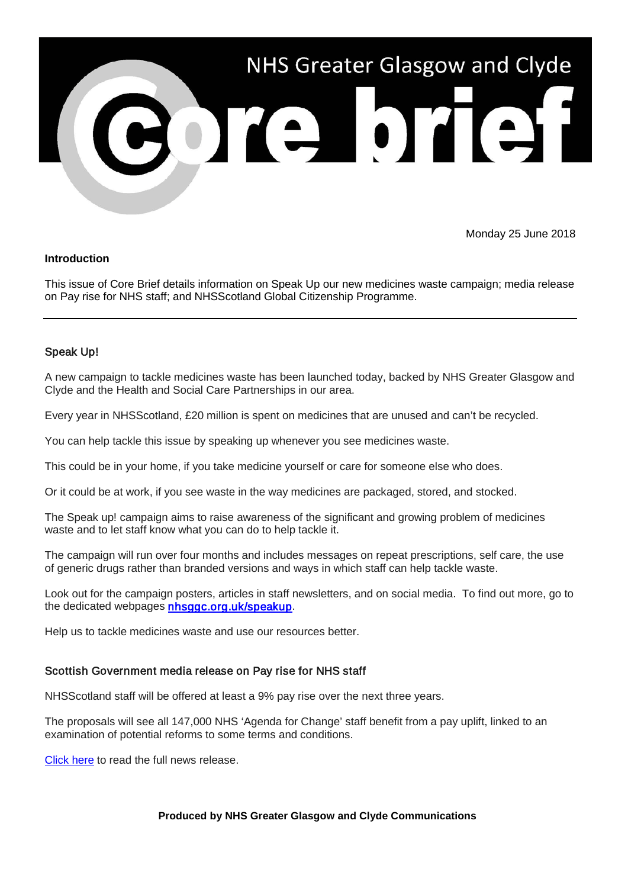

# Monday 25 June 2018

#### **Introduction**

This issue of Core Brief details information on Speak Up our new medicines waste campaign; media release on Pay rise for NHS staff; and NHSScotland Global Citizenship Programme.

## Speak Up!

A new campaign to tackle medicines waste has been launched today, backed by NHS Greater Glasgow and Clyde and the Health and Social Care Partnerships in our area.

Every year in NHSScotland, £20 million is spent on medicines that are unused and can't be recycled.

You can help tackle this issue by speaking up whenever you see medicines waste.

This could be in your home, if you take medicine yourself or care for someone else who does.

Or it could be at work, if you see waste in the way medicines are packaged, stored, and stocked.

The Speak up! campaign aims to raise awareness of the significant and growing problem of medicines waste and to let staff know what you can do to help tackle it.

The campaign will run over four months and includes messages on repeat prescriptions, self care, the use of generic drugs rather than branded versions and ways in which staff can help tackle waste.

Look out for the campaign posters, articles in staff newsletters, and on social media. To find out more, go to the dedicated webpages [nhsggc.org.uk/speakup.](http://www.nhsggc.org.uk/about-us/professional-support-sites/speak-up/?utm_source=Core_Brief&utm_medium=email&utm_campaign=Core_Brief_speakup)

Help us to tackle medicines waste and use our resources better.

## Scottish Government media release on Pay rise for NHS staff

NHSScotland staff will be offered at least a 9% pay rise over the next three years.

The proposals will see all 147,000 NHS 'Agenda for Change' staff benefit from a pay uplift, linked to an examination of potential reforms to some terms and conditions.

[Click here](https://news.gov.scot/news/pay-rise-for-nhs-staff) to read the full news release.

#### **Produced by NHS Greater Glasgow and Clyde Communications**